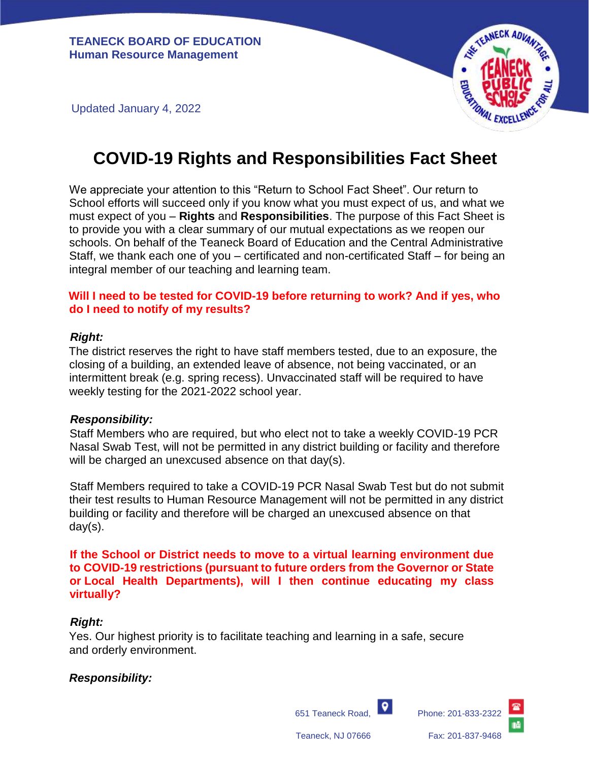

Updated January 4, 2022

# **COVID-19 Rights and Responsibilities Fact Sheet**

We appreciate your attention to this "Return to School Fact Sheet". Our return to School efforts will succeed only if you know what you must expect of us, and what we must expect of you – **Rights** and **Responsibilities**. The purpose of this Fact Sheet is to provide you with a clear summary of our mutual expectations as we reopen our schools. On behalf of the Teaneck Board of Education and the Central Administrative Staff, we thank each one of you – certificated and non-certificated Staff – for being an integral member of our teaching and learning team.

#### **Will I need to be tested for COVID-19 before returning to work? And if yes, who do I need to notify of my results?**

#### *Right:*

The district reserves the right to have staff members tested, due to an exposure, the closing of a building, an extended leave of absence, not being vaccinated, or an intermittent break (e.g. spring recess). Unvaccinated staff will be required to have weekly testing for the 2021-2022 school year.

#### *Responsibility:*

Staff Members who are required, but who elect not to take a weekly COVID-19 PCR Nasal Swab Test, will not be permitted in any district building or facility and therefore will be charged an unexcused absence on that day(s).

Staff Members required to take a COVID-19 PCR Nasal Swab Test but do not submit their test results to Human Resource Management will not be permitted in any district building or facility and therefore will be charged an unexcused absence on that day(s).

**If the School or District needs to move to a virtual learning environment due to COVID-19 restrictions (pursuant to future orders from the Governor or State or Local Health Departments), will I then continue educating my class virtually?**

#### *Right:*

Yes. Our highest priority is to facilitate teaching and learning in a safe, secure and orderly environment.

#### *Responsibility:*

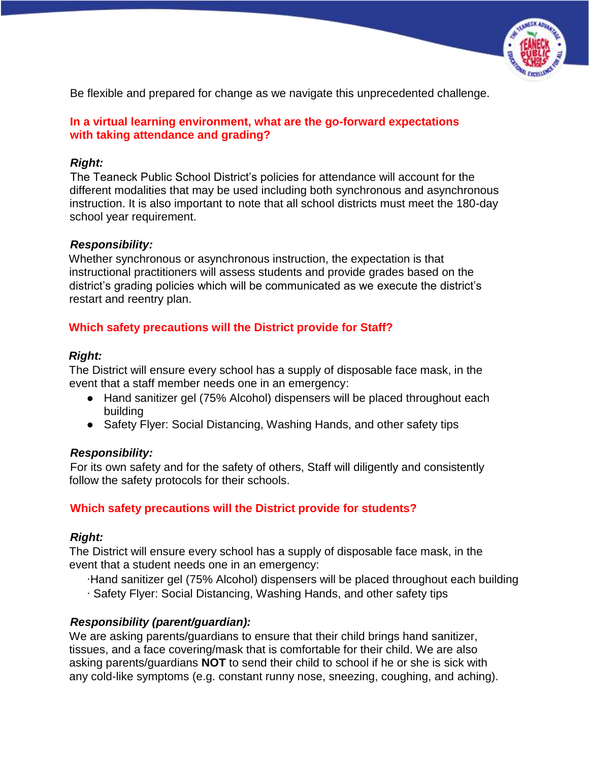

Be flexible and prepared for change as we navigate this unprecedented challenge.

# **In a virtual learning environment, what are the go-forward expectations with taking attendance and grading?**

## *Right:*

The Teaneck Public School District's policies for attendance will account for the different modalities that may be used including both synchronous and asynchronous instruction. It is also important to note that all school districts must meet the 180-day school year requirement.

## *Responsibility:*

Whether synchronous or asynchronous instruction, the expectation is that instructional practitioners will assess students and provide grades based on the district's grading policies which will be communicated as we execute the district's restart and reentry plan.

# **Which safety precautions will the District provide for Staff?**

## *Right:*

The District will ensure every school has a supply of disposable face mask, in the event that a staff member needs one in an emergency:

- Hand sanitizer gel (75% Alcohol) dispensers will be placed throughout each building
- Safety Flyer: Social Distancing, Washing Hands, and other safety tips

# *Responsibility:*

For its own safety and for the safety of others, Staff will diligently and consistently follow the safety protocols for their schools.

# **Which safety precautions will the District provide for students?**

# *Right:*

The District will ensure every school has a supply of disposable face mask, in the event that a student needs one in an emergency:

∙Hand sanitizer gel (75% Alcohol) dispensers will be placed throughout each building ∙ Safety Flyer: Social Distancing, Washing Hands, and other safety tips

# *Responsibility (parent/guardian):*

We are asking parents/guardians to ensure that their child brings hand sanitizer, tissues, and a face covering/mask that is comfortable for their child. We are also asking parents/guardians **NOT** to send their child to school if he or she is sick with any cold-like symptoms (e.g. constant runny nose, sneezing, coughing, and aching).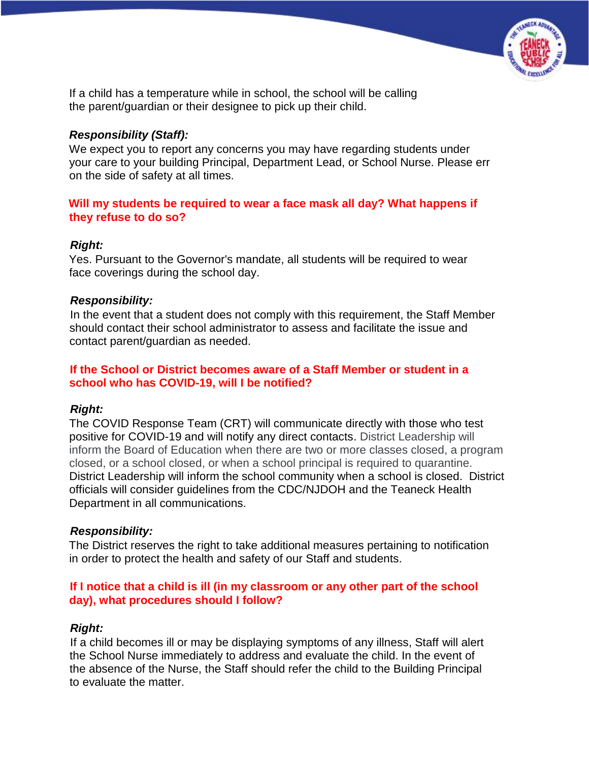

If a child has a temperature while in school, the school will be calling the parent/guardian or their designee to pick up their child.

#### *Responsibility (Staff):*

We expect you to report any concerns you may have regarding students under your care to your building Principal, Department Lead, or School Nurse. Please err on the side of safety at all times.

## **Will my students be required to wear a face mask all day? What happens if they refuse to do so?**

## *Right:*

Yes. Pursuant to the Governor's mandate, all students will be required to wear face coverings during the school day.

## *Responsibility:*

In the event that a student does not comply with this requirement, the Staff Member should contact their school administrator to assess and facilitate the issue and contact parent/guardian as needed.

#### **If the School or District becomes aware of a Staff Member or student in a school who has COVID-19, will I be notified?**

# *Right:*

The COVID Response Team (CRT) will communicate directly with those who test positive for COVID-19 and will notify any direct contacts. District Leadership will inform the Board of Education when there are two or more classes closed, a program closed, or a school closed, or when a school principal is required to quarantine. District Leadership will inform the school community when a school is closed. District officials will consider guidelines from the CDC/NJDOH and the Teaneck Health Department in all communications.

# *Responsibility:*

The District reserves the right to take additional measures pertaining to notification in order to protect the health and safety of our Staff and students.

## **If I notice that a child is ill (in my classroom or any other part of the school day), what procedures should I follow?**

# *Right:*

If a child becomes ill or may be displaying symptoms of any illness, Staff will alert the School Nurse immediately to address and evaluate the child. In the event of the absence of the Nurse, the Staff should refer the child to the Building Principal to evaluate the matter.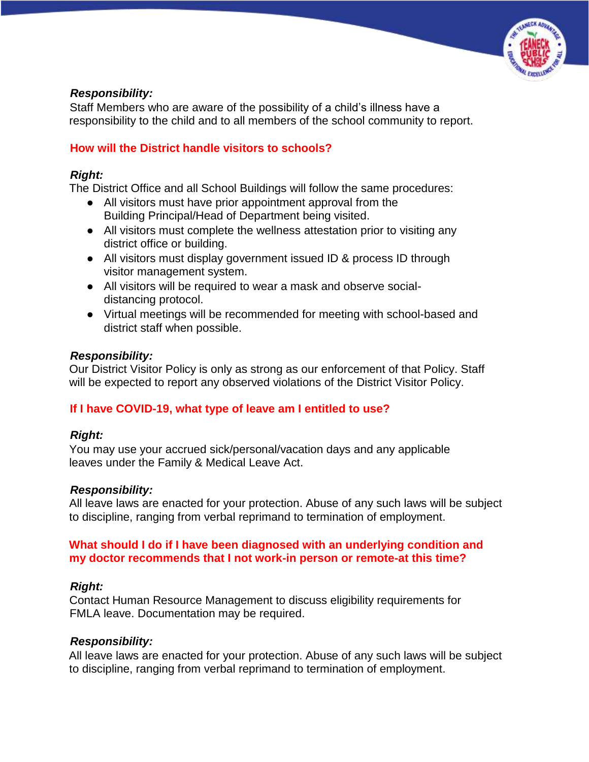

#### *Responsibility:*

Staff Members who are aware of the possibility of a child's illness have a responsibility to the child and to all members of the school community to report.

## **How will the District handle visitors to schools?**

#### *Right:*

The District Office and all School Buildings will follow the same procedures:

- All visitors must have prior appointment approval from the Building Principal/Head of Department being visited.
- All visitors must complete the wellness attestation prior to visiting any district office or building.
- All visitors must display government issued ID & process ID through visitor management system.
- All visitors will be required to wear a mask and observe socialdistancing protocol.
- Virtual meetings will be recommended for meeting with school-based and district staff when possible.

## *Responsibility:*

Our District Visitor Policy is only as strong as our enforcement of that Policy. Staff will be expected to report any observed violations of the District Visitor Policy.

# **If I have COVID-19, what type of leave am I entitled to use?**

#### *Right:*

You may use your accrued sick/personal/vacation days and any applicable leaves under the Family & Medical Leave Act.

#### *Responsibility:*

All leave laws are enacted for your protection. Abuse of any such laws will be subject to discipline, ranging from verbal reprimand to termination of employment.

#### **What should I do if I have been diagnosed with an underlying condition and my doctor recommends that I not work-in person or remote-at this time?**

# *Right:*

Contact Human Resource Management to discuss eligibility requirements for FMLA leave. Documentation may be required.

#### *Responsibility:*

All leave laws are enacted for your protection. Abuse of any such laws will be subject to discipline, ranging from verbal reprimand to termination of employment.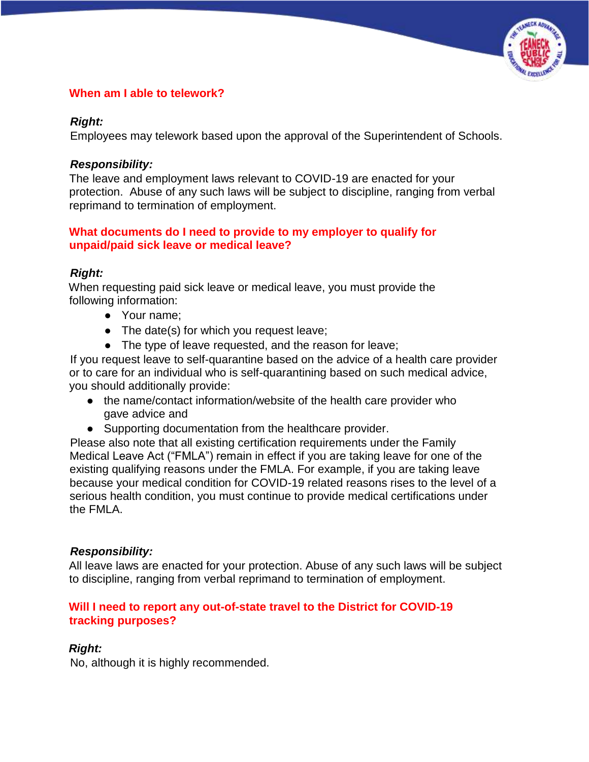

## **When am I able to telework?**

#### *Right:*

Employees may telework based upon the approval of the Superintendent of Schools.

#### *Responsibility:*

The leave and employment laws relevant to COVID-19 are enacted for your protection. Abuse of any such laws will be subject to discipline, ranging from verbal reprimand to termination of employment.

#### **What documents do I need to provide to my employer to qualify for unpaid/paid sick leave or medical leave?**

#### *Right:*

When requesting paid sick leave or medical leave, you must provide the following information:

- Your name:
- The date(s) for which you request leave;
- The type of leave requested, and the reason for leave;

If you request leave to self-quarantine based on the advice of a health care provider or to care for an individual who is self-quarantining based on such medical advice, you should additionally provide:

- the name/contact information/website of the health care provider who gave advice and
- Supporting documentation from the healthcare provider.

Please also note that all existing certification requirements under the Family Medical Leave Act ("FMLA") remain in effect if you are taking leave for one of the existing qualifying reasons under the FMLA. For example, if you are taking leave because your medical condition for COVID-19 related reasons rises to the level of a serious health condition, you must continue to provide medical certifications under the FMLA.

#### *Responsibility:*

All leave laws are enacted for your protection. Abuse of any such laws will be subject to discipline, ranging from verbal reprimand to termination of employment.

#### **Will I need to report any out-of-state travel to the District for COVID-19 tracking purposes?**

# *Right:*

No, although it is highly recommended.